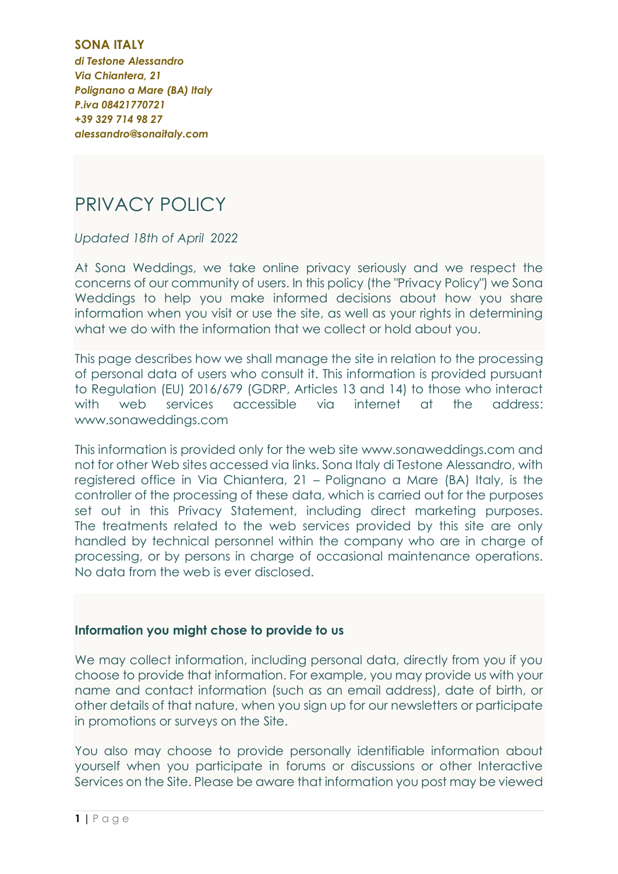**SONA ITALY** *di Testone Alessandro Via Chiantera, 21 Polignano a Mare (BA) Italy P.iva 08421770721 +39 329 714 98 27 alessandro@sonaitaly.com*

# PRIVACY POLICY

*Updated 18th of April 2022*

At Sona Weddings, we take online privacy seriously and we respect the concerns of our community of users. In this policy (the "Privacy Policy") we Sona Weddings to help you make informed decisions about how you share information when you visit or use the site, as well as your rights in determining what we do with the information that we collect or hold about you.

This page describes how we shall manage the site in relation to the processing of personal data of users who consult it. This information is provided pursuant to Regulation (EU) 2016/679 (GDRP, Articles 13 and 14) to those who interact with web services accessible via internet at the address: www.sonaweddings.com

This information is provided only for the web site www.sonaweddings.com and not for other Web sites accessed via links. Sona Italy di Testone Alessandro, with registered office in Via Chiantera, 21 – Polignano a Mare (BA) Italy, is the controller of the processing of these data, which is carried out for the purposes set out in this Privacy Statement, including direct marketing purposes. The treatments related to the web services provided by this site are only handled by technical personnel within the company who are in charge of processing, or by persons in charge of occasional maintenance operations. No data from the web is ever disclosed.

## **Information you might chose to provide to us**

We may collect information, including personal data, directly from you if you choose to provide that information. For example, you may provide us with your name and contact information (such as an email address), date of birth, or other details of that nature, when you sign up for our newsletters or participate in promotions or surveys on the Site.

You also may choose to provide personally identifiable information about yourself when you participate in forums or discussions or other Interactive Services on the Site. Please be aware that information you post may be viewed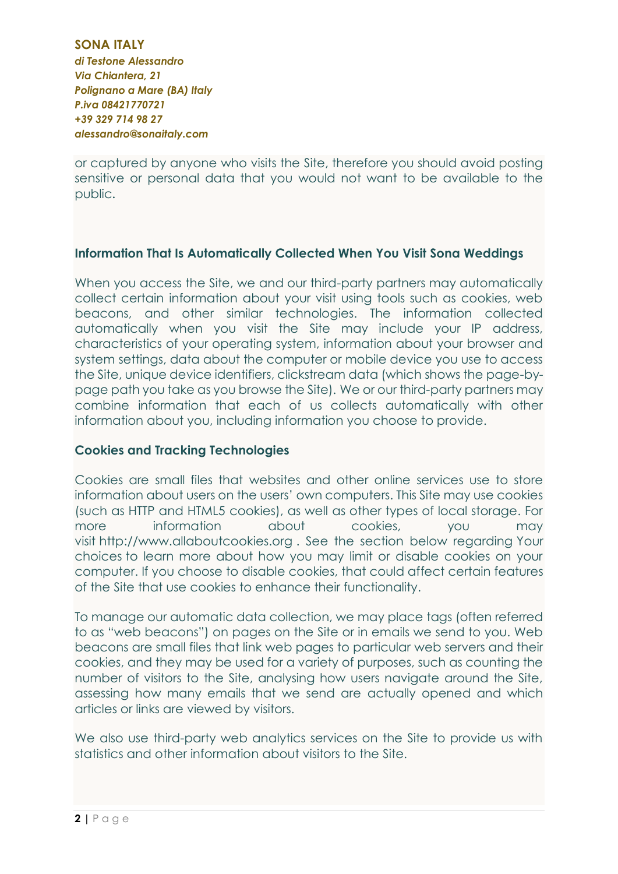## **SONA ITALY** *di Testone Alessandro Via Chiantera, 21 Polignano a Mare (BA) Italy P.iva 08421770721 +39 329 714 98 27 alessandro@sonaitaly.com*

or captured by anyone who visits the Site, therefore you should avoid posting sensitive or personal data that you would not want to be available to the public.

## **Information That Is Automatically Collected When You Visit Sona Weddings**

When you access the Site, we and our third-party partners may automatically collect certain information about your visit using tools such as cookies, web beacons, and other similar technologies. The information collected automatically when you visit the Site may include your IP address, characteristics of your operating system, information about your browser and system settings, data about the computer or mobile device you use to access the Site, unique device identifiers, clickstream data (which shows the page-bypage path you take as you browse the Site). We or our third-party partners may combine information that each of us collects automatically with other information about you, including information you choose to provide.

# **Cookies and Tracking Technologies**

Cookies are small files that websites and other online services use to store information about users on the users' own computers. This Site may use cookies (such as HTTP and HTML5 cookies), as well as other types of local storage. For more information about cookies, you may visit [http://www.allaboutcookies.org](http://www.allaboutcookies.org/) . See the section below regarding Your choices to learn more about how you may limit or disable cookies on your computer. If you choose to disable cookies, that could affect certain features of the Site that use cookies to enhance their functionality.

To manage our automatic data collection, we may place tags (often referred to as "web beacons") on pages on the Site or in emails we send to you. Web beacons are small files that link web pages to particular web servers and their cookies, and they may be used for a variety of purposes, such as counting the number of visitors to the Site, analysing how users navigate around the Site, assessing how many emails that we send are actually opened and which articles or links are viewed by visitors.

We also use third-party web analytics services on the Site to provide us with statistics and other information about visitors to the Site.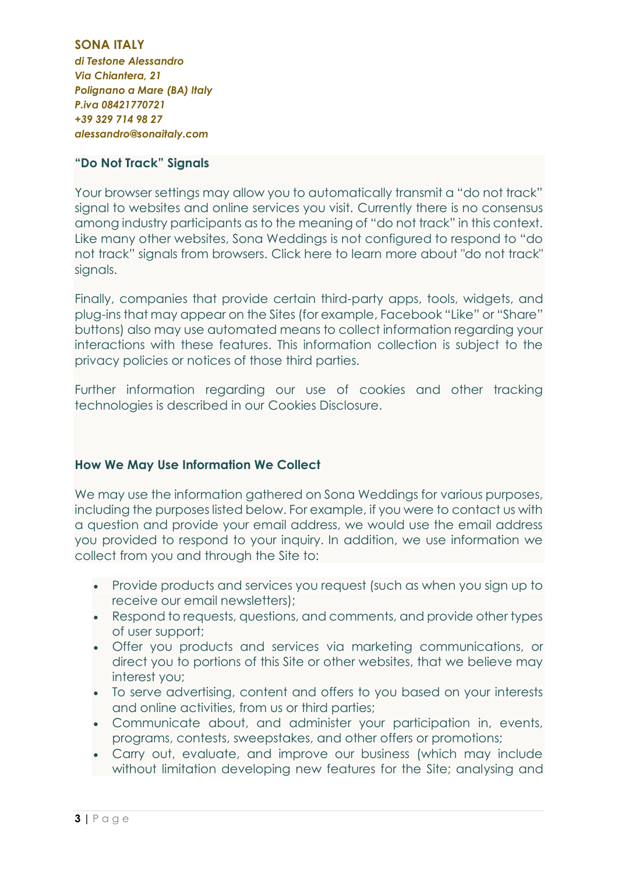**SONA ITALY** *di Testone Alessandro Via Chiantera, 21 Polignano a Mare (BA) Italy P.iva 08421770721 +39 329 714 98 27 alessandro@sonaitaly.com*

# **"Do Not Track" Signals**

Your browser settings may allow you to automatically transmit a "do not track" signal to websites and online services you visit. Currently there is no consensus among industry participants as to the meaning of "do not track" in this context. Like many other websites, Sona Weddings is not configured to respond to "do not track" signals from browsers. [Click here to learn more about "do not track"](https://allaboutdnt.com/)  [signals.](https://allaboutdnt.com/)

Finally, companies that provide certain third-party apps, tools, widgets, and plug-ins that may appear on the Sites (for example, Facebook "Like" or "Share" buttons) also may use automated means to collect information regarding your interactions with these features. This information collection is subject to the privacy policies or notices of those third parties.

Further information regarding our use of cookies and other tracking technologies is described in our Cookies Disclosure.

# **How We May Use Information We Collect**

We may use the information gathered on Sona Weddings for various purposes, including the purposes listed below. For example, if you were to contact us with a question and provide your email address, we would use the email address you provided to respond to your inquiry. In addition, we use information we collect from you and through the Site to:

- Provide products and services you request (such as when you sign up to receive our email newsletters);
- Respond to requests, questions, and comments, and provide other types of user support;
- Offer you products and services via marketing communications, or direct you to portions of this Site or other websites, that we believe may interest you;
- To serve advertising, content and offers to you based on your interests and online activities, from us or third parties;
- Communicate about, and administer your participation in, events, programs, contests, sweepstakes, and other offers or promotions;
- Carry out, evaluate, and improve our business (which may include without limitation developing new features for the Site; analysing and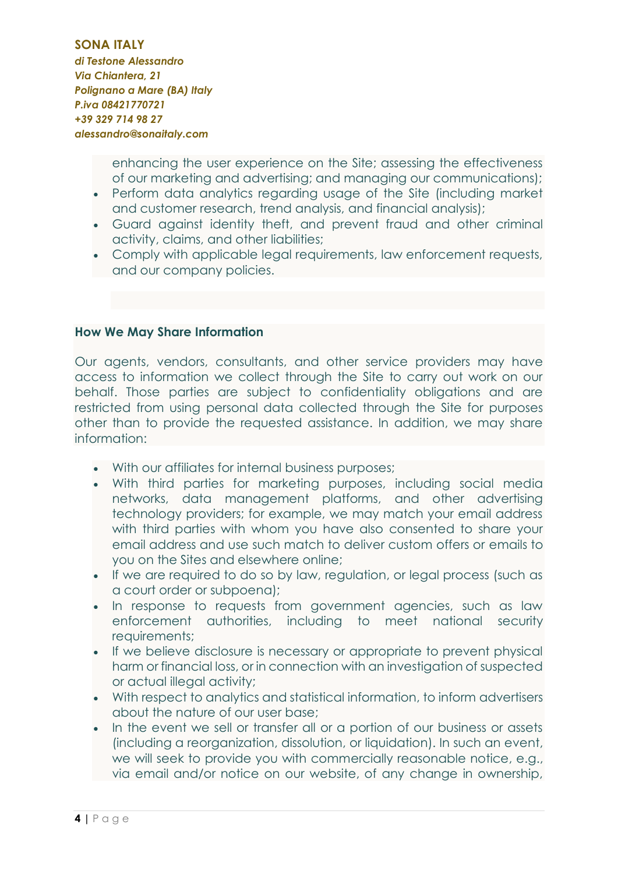#### **SONA ITALY**

*di Testone Alessandro Via Chiantera, 21 Polignano a Mare (BA) Italy P.iva 08421770721 +39 329 714 98 27 alessandro@sonaitaly.com*

> enhancing the user experience on the Site; assessing the effectiveness of our marketing and advertising; and managing our communications);

- Perform data analytics regarding usage of the Site (including market and customer research, trend analysis, and financial analysis);
- Guard against identity theft, and prevent fraud and other criminal activity, claims, and other liabilities;
- Comply with applicable legal requirements, law enforcement requests, and our company policies.

## **How We May Share Information**

Our agents, vendors, consultants, and other service providers may have access to information we collect through the Site to carry out work on our behalf. Those parties are subject to confidentiality obligations and are restricted from using personal data collected through the Site for purposes other than to provide the requested assistance. In addition, we may share information:

- With our affiliates for internal business purposes;
- With third parties for marketing purposes, including social media networks, data management platforms, and other advertising technology providers; for example, we may match your email address with third parties with whom you have also consented to share your email address and use such match to deliver custom offers or emails to you on the Sites and elsewhere online;
- If we are required to do so by law, regulation, or legal process (such as a court order or subpoena);
- In response to requests from government agencies, such as law enforcement authorities, including to meet national security requirements;
- If we believe disclosure is necessary or appropriate to prevent physical harm or financial loss, or in connection with an investigation of suspected or actual illegal activity;
- With respect to analytics and statistical information, to inform advertisers about the nature of our user base;
- In the event we sell or transfer all or a portion of our business or assets (including a reorganization, dissolution, or liquidation). In such an event, we will seek to provide you with commercially reasonable notice, e.g., via email and/or notice on our website, of any change in ownership,